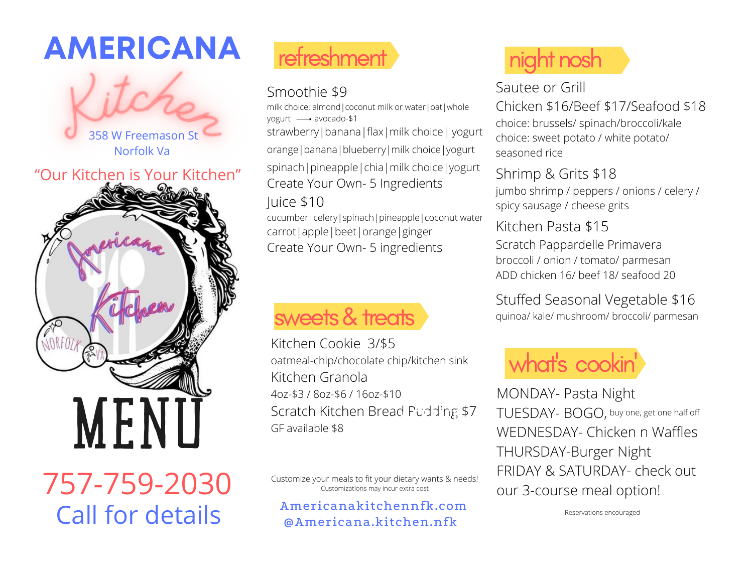# **AMERICANA**



### "Our Kitchen is Your Kitchen"



757-759-2030 Call for details

# refreshment

## Smoothie \$9

milk choice: almond|coconut milk or water|oat|whole yogurt - avocado-\$1 strawberry|banana|flax|milk choice| yogurt orange|banana|blueberry|milk choice|yogurt spinach|pineapple|chia|milk choice|yogurt Create Your Own- 5 Ingredients Juice \$10

cucumber|celery|spinach|pineapple|coconut water carrot|apple|beet|orange|ginger Create Your Own- 5 ingredients

# sweets & treats

Kitchen Cookie 3/\$5 oatmeal-chip/chocolate chip/kitchen sink Kitchen Granola 4oz-\$3 / 8oz-\$6 / 16oz-\$10 Scratch Kitchen Bread Pudding \$7 GF available \$8  $\overline{C}$ 

Customize your meals to fit your dietary wants & needs! Customizations may incur extra cost

Americanakitchennfk.com @Americana.kitchen.nfk

# night nosh

## Sautee or Grill

Chicken \$16/Beef \$17/Seafood \$18 choice: brussels/ spinach/broccoli/kale choice: sweet potato / white potato/ seasoned rice

### Shrimp & Grits \$18

jumbo shrimp / peppers / onions / celery / spicy sausage / cheese grits

### Kitchen Pasta \$15

Scratch Pappardelle Primavera broccoli / onion / tomato/ parmesan ADD chicken 16/ beef 18/ seafood 20

## Stuffed Seasonal Vegetable \$16

quinoa/ kale/ mushroom/ broccoli/ parmesan

# what' s cookin '

MONDAY- Pasta Night TUESDAY- BOGO, buy one, get one half offWEDNESDAY- Chicken n Waffles THURSDAY-Burger Night FRIDAY & SATURDAY- check out our 3-course meal option!

Reservations encouraged